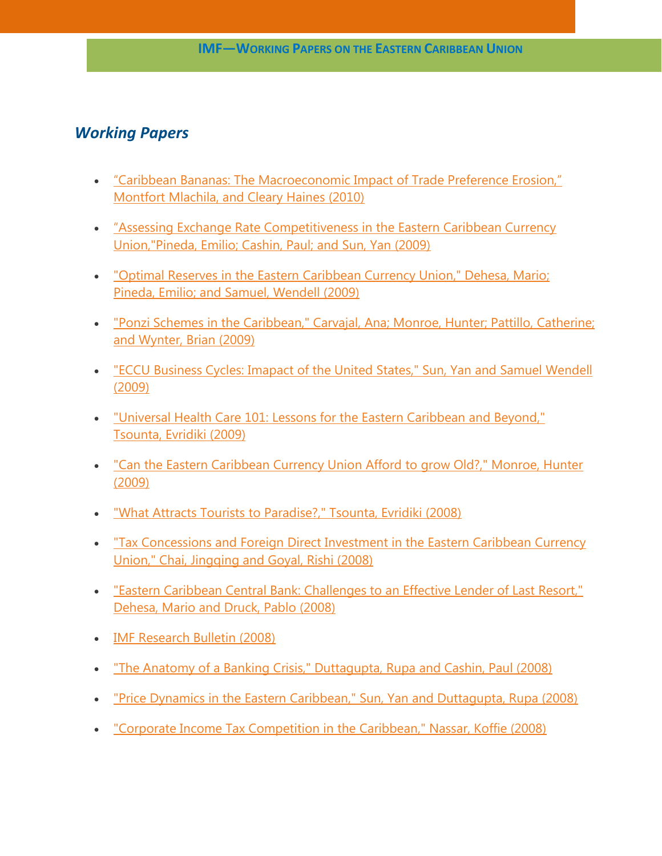## *Working Papers*

- ["Caribbean Bananas: The Macroeconomic Impact of Trade Preference Erosion,"](http://www.imf.org/external/pubs/ft/wp/2009/wp0978.pdf)  [Montfort Mlachila, and Cleary Haines](http://www.imf.org/external/pubs/ft/wp/2009/wp0978.pdf) (2010)
- "[Assessing Exchange Rate Competitiveness in the Eastern Caribbean Currency](http://www.imf.org/external/pubs/ft/wp/2009/wp0978.pdf)  [Union,"Pineda, Emilio; Cashin, Paul; and Sun, Yan \(2009\)](http://www.imf.org/external/pubs/ft/wp/2009/wp0978.pdf)
- ["Optimal Reserves in the Eastern Caribbean Currency Union," Dehesa, Mario;](http://www.imf.org/external/pubs/ft/wp/2009/wp0977.pdf)  Pineda, [Emilio; and Samuel, Wendell \(2009\)](http://www.imf.org/external/pubs/ft/wp/2009/wp0977.pdf)
- . ["Ponzi Schemes in the Caribbean," Carvajal,](http://www.imf.org/external/pubs/ft/wp/2009/wp0995.pdf) Ana; Monroe, Hunter; Pattillo, Catherine; [and Wynter, Brian \(2009\)](http://www.imf.org/external/pubs/ft/wp/2009/wp0995.pdf)
- ["ECCU Business Cycles: Imapact of the United States," Sun, Yan and Samuel](http://www.imf.org/external/pubs/ft/wp/2009/wp0971.pdf) Wendell [\(2009\)](http://www.imf.org/external/pubs/ft/wp/2009/wp0971.pdf)
- ["Universal Health Care 101: Lessons for the Eastern Caribbean and Beyond,"](http://www.imf.org/external/pubs/ft/wp/2009/wp0961.pdf)  Tsounta, [Evridiki \(2009\)](http://www.imf.org/external/pubs/ft/wp/2009/wp0961.pdf)
- ["Can the Eastern Caribbean Currency Union Afford to grow Old?," Monroe,](http://www.imf.org/external/pubs/ft/wp/2009/wp0938.pdf) Hunter [\(2009\)](http://www.imf.org/external/pubs/ft/wp/2009/wp0938.pdf)
- ["What Attracts Tourists to Paradise?," Tsounta, Evridiki \(2008\)](http://www.imf.org/external/pubs/ft/wp/2008/wp08277.pdf)
- ["Tax Concessions and Foreign Direct Investment in the Eastern Caribbean Currency](http://www.imf.org/external/pubs/ft/wp/2008/wp08257.pdf)  [Union," Chai, Jingqing and Goyal, Rishi \(2008\)](http://www.imf.org/external/pubs/ft/wp/2008/wp08257.pdf)
- ["Eastern Caribbean Central Bank: Challenges to an Effective Lender of Last Resort,"](http://www.imf.org/external/pubs/ft/wp/2008/wp08214.pdf)  [Dehesa, Mario and Druck, Pablo \(2008\)](http://www.imf.org/external/pubs/ft/wp/2008/wp08214.pdf)
- [IMF Research Bulletin \(2008\)](http://www.imf.org/External/Pubs/FT/irb/2008/02/index.pdf)
- ["The Anatomy of a Banking Crisis," Duttagupta, Rupa and Cashin, Paul \(2008\)](http://www.imf.org/external/pubs/ft/wp/2008/wp0893.pdf)
- ["Price Dynamics in the Eastern Caribbean," Sun, Yan and Duttagupta, Rupa \(2008\)](http://www.imf.org/external/pubs/ft/wp/2008/wp0890.pdf)
- ["Corporate Income Tax Competition in the](http://www.imf.org/external/pubs/ft/wp/2008/wp0877.pdf) Caribbean," Nassar, Koffie (2008)